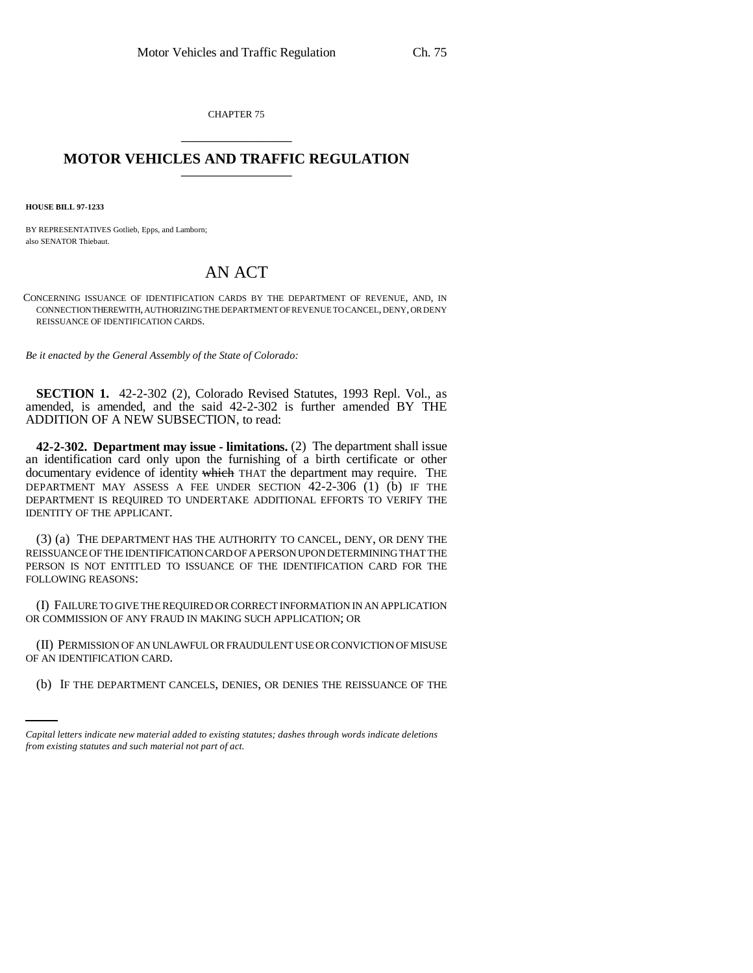CHAPTER 75 \_\_\_\_\_\_\_\_\_\_\_\_\_\_\_

## **MOTOR VEHICLES AND TRAFFIC REGULATION** \_\_\_\_\_\_\_\_\_\_\_\_\_\_\_

**HOUSE BILL 97-1233**

BY REPRESENTATIVES Gotlieb, Epps, and Lamborn; also SENATOR Thiebaut.

## AN ACT

CONCERNING ISSUANCE OF IDENTIFICATION CARDS BY THE DEPARTMENT OF REVENUE, AND, IN CONNECTION THEREWITH, AUTHORIZING THE DEPARTMENT OF REVENUE TO CANCEL, DENY, OR DENY REISSUANCE OF IDENTIFICATION CARDS.

*Be it enacted by the General Assembly of the State of Colorado:*

**SECTION 1.** 42-2-302 (2), Colorado Revised Statutes, 1993 Repl. Vol., as amended, is amended, and the said 42-2-302 is further amended BY THE ADDITION OF A NEW SUBSECTION, to read:

**42-2-302. Department may issue - limitations.** (2) The department shall issue an identification card only upon the furnishing of a birth certificate or other documentary evidence of identity which THAT the department may require. THE DEPARTMENT MAY ASSESS A FEE UNDER SECTION 42-2-306 (1) (b) IF THE DEPARTMENT IS REQUIRED TO UNDERTAKE ADDITIONAL EFFORTS TO VERIFY THE IDENTITY OF THE APPLICANT.

(3) (a) THE DEPARTMENT HAS THE AUTHORITY TO CANCEL, DENY, OR DENY THE REISSUANCE OF THE IDENTIFICATION CARD OF A PERSON UPON DETERMINING THAT THE PERSON IS NOT ENTITLED TO ISSUANCE OF THE IDENTIFICATION CARD FOR THE FOLLOWING REASONS:

(I) FAILURE TO GIVE THE REQUIRED OR CORRECT INFORMATION IN AN APPLICATION OR COMMISSION OF ANY FRAUD IN MAKING SUCH APPLICATION; OR

OF AN IDENTIFICATION CARD. (II) PERMISSION OF AN UNLAWFUL OR FRAUDULENT USE OR CONVICTION OF MISUSE

(b) IF THE DEPARTMENT CANCELS, DENIES, OR DENIES THE REISSUANCE OF THE

*Capital letters indicate new material added to existing statutes; dashes through words indicate deletions from existing statutes and such material not part of act.*